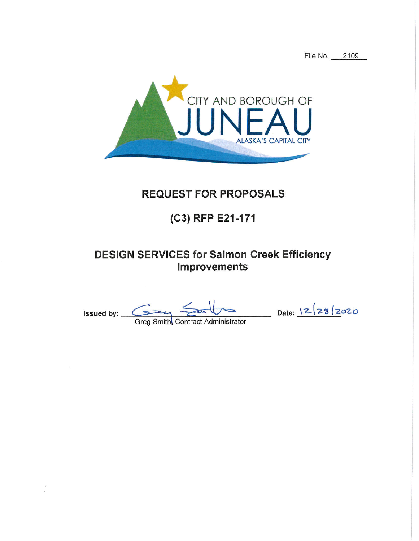File No. 2109



# **REQUEST FOR PROPOSALS**

# (C3) RFP E21-171

## **DESIGN SERVICES for Salmon Creek Efficiency Improvements**

Issued by:  $\frac{128}{2020}$ <br>Greg Smith Contract Administrator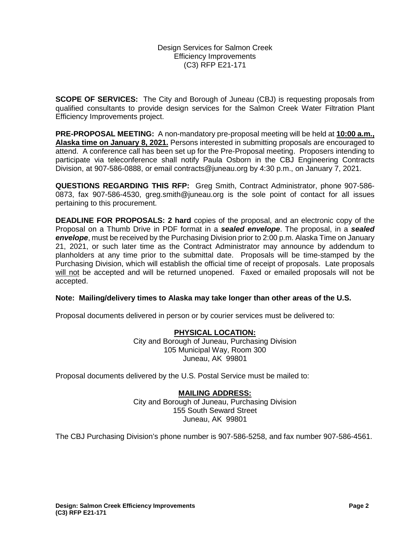Design Services for Salmon Creek Efficiency Improvements (C3) RFP E21-171

**SCOPE OF SERVICES:** The City and Borough of Juneau (CBJ) is requesting proposals from qualified consultants to provide design services for the Salmon Creek Water Filtration Plant Efficiency Improvements project.

**PRE-PROPOSAL MEETING:** A non-mandatory pre-proposal meeting will be held at **10:00 a.m., Alaska time on January 8, 2021.** Persons interested in submitting proposals are encouraged to attend. A conference call has been set up for the Pre-Proposal meeting. Proposers intending to participate via teleconference shall notify Paula Osborn in the CBJ Engineering Contracts Division, at 907-586-0888, or email contracts@juneau.org by 4:30 p.m., on January 7, 2021.

**QUESTIONS REGARDING THIS RFP:** Greg Smith, Contract Administrator, phone 907-586- 0873, fax 907-586-4530, greg.smith@juneau.org is the sole point of contact for all issues pertaining to this procurement.

**DEADLINE FOR PROPOSALS: 2 hard** copies of the proposal, and an electronic copy of the Proposal on a Thumb Drive in PDF format in a *sealed envelope*. The proposal, in a *sealed envelope*, must be received by the Purchasing Division prior to 2:00 p.m. Alaska Time on January 21, 2021, or such later time as the Contract Administrator may announce by addendum to planholders at any time prior to the submittal date. Proposals will be time-stamped by the Purchasing Division, which will establish the official time of receipt of proposals. Late proposals will not be accepted and will be returned unopened. Faxed or emailed proposals will not be accepted.

#### **Note: Mailing/delivery times to Alaska may take longer than other areas of the U.S.**

Proposal documents delivered in person or by courier services must be delivered to:

### **PHYSICAL LOCATION:** City and Borough of Juneau, Purchasing Division 105 Municipal Way, Room 300 Juneau, AK 99801

Proposal documents delivered by the U.S. Postal Service must be mailed to:

#### **MAILING ADDRESS:**

City and Borough of Juneau, Purchasing Division 155 South Seward Street Juneau, AK 99801

The CBJ Purchasing Division's phone number is 907-586-5258, and fax number 907-586-4561.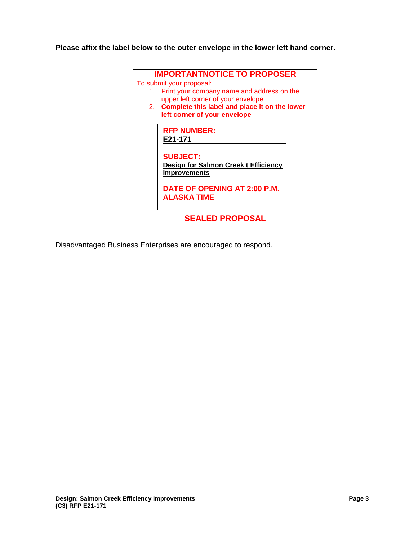**Please affix the label below to the outer envelope in the lower left hand corner.** 



Disadvantaged Business Enterprises are encouraged to respond.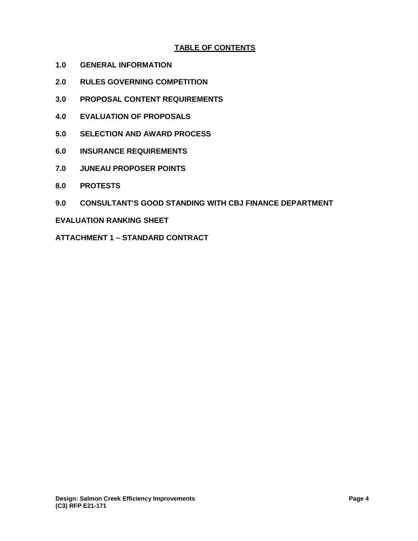## **TABLE OF CONTENTS**

- **1.0 GENERAL INFORMATION**
- **2.0 RULES GOVERNING COMPETITION**
- **3.0 PROPOSAL CONTENT REQUIREMENTS**
- **4.0 EVALUATION OF PROPOSALS**
- **5.0 SELECTION AND AWARD PROCESS**
- **6.0 INSURANCE REQUIREMENTS**
- **7.0 JUNEAU PROPOSER POINTS**
- **8.0 PROTESTS**
- **9.0 CONSULTANT'S GOOD STANDING WITH CBJ FINANCE DEPARTMENT**

### **EVALUATION RANKING SHEET**

**ATTACHMENT 1 – STANDARD CONTRACT**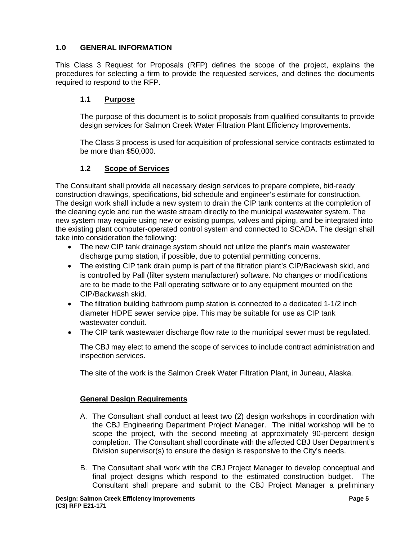## **1.0 GENERAL INFORMATION**

This Class 3 Request for Proposals (RFP) defines the scope of the project, explains the procedures for selecting a firm to provide the requested services, and defines the documents required to respond to the RFP.

## **1.1 Purpose**

The purpose of this document is to solicit proposals from qualified consultants to provide design services for Salmon Creek Water Filtration Plant Efficiency Improvements.

The Class 3 process is used for acquisition of professional service contracts estimated to be more than \$50,000.

## **1.2 Scope of Services**

The Consultant shall provide all necessary design services to prepare complete, bid-ready construction drawings, specifications, bid schedule and engineer's estimate for construction. The design work shall include a new system to drain the CIP tank contents at the completion of the cleaning cycle and run the waste stream directly to the municipal wastewater system. The new system may require using new or existing pumps, valves and piping, and be integrated into the existing plant computer-operated control system and connected to SCADA. The design shall take into consideration the following:

- The new CIP tank drainage system should not utilize the plant's main wastewater discharge pump station, if possible, due to potential permitting concerns.
- The existing CIP tank drain pump is part of the filtration plant's CIP/Backwash skid, and is controlled by Pall (filter system manufacturer) software. No changes or modifications are to be made to the Pall operating software or to any equipment mounted on the CIP/Backwash skid.
- The filtration building bathroom pump station is connected to a dedicated 1-1/2 inch diameter HDPE sewer service pipe. This may be suitable for use as CIP tank wastewater conduit.
- The CIP tank wastewater discharge flow rate to the municipal sewer must be regulated.

The CBJ may elect to amend the scope of services to include contract administration and inspection services.

The site of the work is the Salmon Creek Water Filtration Plant, in Juneau, Alaska.

## **General Design Requirements**

- A. The Consultant shall conduct at least two (2) design workshops in coordination with the CBJ Engineering Department Project Manager. The initial workshop will be to scope the project, with the second meeting at approximately 90-percent design completion. The Consultant shall coordinate with the affected CBJ User Department's Division supervisor(s) to ensure the design is responsive to the City's needs.
- B. The Consultant shall work with the CBJ Project Manager to develop conceptual and final project designs which respond to the estimated construction budget. The Consultant shall prepare and submit to the CBJ Project Manager a preliminary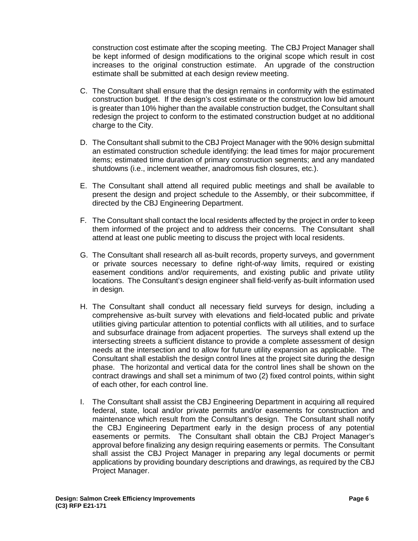construction cost estimate after the scoping meeting. The CBJ Project Manager shall be kept informed of design modifications to the original scope which result in cost increases to the original construction estimate. An upgrade of the construction estimate shall be submitted at each design review meeting.

- C. The Consultant shall ensure that the design remains in conformity with the estimated construction budget. If the design's cost estimate or the construction low bid amount is greater than 10% higher than the available construction budget, the Consultant shall redesign the project to conform to the estimated construction budget at no additional charge to the City.
- D. The Consultant shall submit to the CBJ Project Manager with the 90% design submittal an estimated construction schedule identifying: the lead times for major procurement items; estimated time duration of primary construction segments; and any mandated shutdowns (i.e., inclement weather, anadromous fish closures, etc.).
- E. The Consultant shall attend all required public meetings and shall be available to present the design and project schedule to the Assembly, or their subcommittee, if directed by the CBJ Engineering Department.
- F. The Consultant shall contact the local residents affected by the project in order to keep them informed of the project and to address their concerns. The Consultant shall attend at least one public meeting to discuss the project with local residents.
- G. The Consultant shall research all as-built records, property surveys, and government or private sources necessary to define right-of-way limits, required or existing easement conditions and/or requirements, and existing public and private utility locations. The Consultant's design engineer shall field-verify as-built information used in design.
- H. The Consultant shall conduct all necessary field surveys for design, including a comprehensive as-built survey with elevations and field-located public and private utilities giving particular attention to potential conflicts with all utilities, and to surface and subsurface drainage from adjacent properties. The surveys shall extend up the intersecting streets a sufficient distance to provide a complete assessment of design needs at the intersection and to allow for future utility expansion as applicable. The Consultant shall establish the design control lines at the project site during the design phase. The horizontal and vertical data for the control lines shall be shown on the contract drawings and shall set a minimum of two (2) fixed control points, within sight of each other, for each control line.
- I. The Consultant shall assist the CBJ Engineering Department in acquiring all required federal, state, local and/or private permits and/or easements for construction and maintenance which result from the Consultant's design. The Consultant shall notify the CBJ Engineering Department early in the design process of any potential easements or permits. The Consultant shall obtain the CBJ Project Manager's approval before finalizing any design requiring easements or permits. The Consultant shall assist the CBJ Project Manager in preparing any legal documents or permit applications by providing boundary descriptions and drawings, as required by the CBJ Project Manager.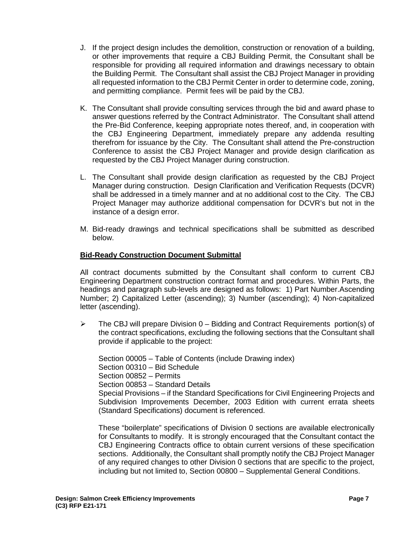- J. If the project design includes the demolition, construction or renovation of a building, or other improvements that require a CBJ Building Permit, the Consultant shall be responsible for providing all required information and drawings necessary to obtain the Building Permit. The Consultant shall assist the CBJ Project Manager in providing all requested information to the CBJ Permit Center in order to determine code, zoning, and permitting compliance. Permit fees will be paid by the CBJ.
- K. The Consultant shall provide consulting services through the bid and award phase to answer questions referred by the Contract Administrator. The Consultant shall attend the Pre-Bid Conference, keeping appropriate notes thereof, and, in cooperation with the CBJ Engineering Department, immediately prepare any addenda resulting therefrom for issuance by the City. The Consultant shall attend the Pre-construction Conference to assist the CBJ Project Manager and provide design clarification as requested by the CBJ Project Manager during construction.
- L. The Consultant shall provide design clarification as requested by the CBJ Project Manager during construction. Design Clarification and Verification Requests (DCVR) shall be addressed in a timely manner and at no additional cost to the City. The CBJ Project Manager may authorize additional compensation for DCVR's but not in the instance of a design error.
- M. Bid-ready drawings and technical specifications shall be submitted as described below.

## **Bid-Ready Construction Document Submittal**

All contract documents submitted by the Consultant shall conform to current CBJ Engineering Department construction contract format and procedures. Within Parts, the headings and paragraph sub-levels are designed as follows: 1) Part Number.Ascending Number; 2) Capitalized Letter (ascending); 3) Number (ascending); 4) Non-capitalized letter (ascending).

 $\triangleright$  The CBJ will prepare Division 0 – Bidding and Contract Requirements portion(s) of the contract specifications, excluding the following sections that the Consultant shall provide if applicable to the project:

Section 00005 – Table of Contents (include Drawing index) Section 00310 – Bid Schedule Section 00852 – Permits Section 00853 – Standard Details Special Provisions – if the Standard Specifications for Civil Engineering Projects and Subdivision Improvements December, 2003 Edition with current errata sheets (Standard Specifications) document is referenced.

These "boilerplate" specifications of Division 0 sections are available electronically for Consultants to modify. It is strongly encouraged that the Consultant contact the CBJ Engineering Contracts office to obtain current versions of these specification sections. Additionally, the Consultant shall promptly notify the CBJ Project Manager of any required changes to other Division 0 sections that are specific to the project, including but not limited to, Section 00800 – Supplemental General Conditions.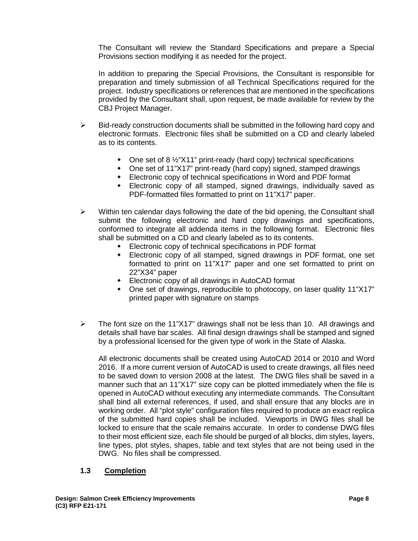The Consultant will review the Standard Specifications and prepare a Special Provisions section modifying it as needed for the project.

In addition to preparing the Special Provisions, the Consultant is responsible for preparation and timely submission of all Technical Specifications required for the project. Industry specifications or references that are mentioned in the specifications provided by the Consultant shall, upon request, be made available for review by the CBJ Project Manager.

- $\triangleright$  Bid-ready construction documents shall be submitted in the following hard copy and electronic formats. Electronic files shall be submitted on a CD and clearly labeled as to its contents.
	- One set of 8 ½"X11" print-ready (hard copy) technical specifications
	- One set of 11"X17" print-ready (hard copy) signed, stamped drawings
	- Electronic copy of technical specifications in Word and PDF format
	- Electronic copy of all stamped, signed drawings, individually saved as PDF-formatted files formatted to print on 11"X17" paper.
- $\triangleright$  Within ten calendar days following the date of the bid opening, the Consultant shall submit the following electronic and hard copy drawings and specifications, conformed to integrate all addenda items in the following format. Electronic files shall be submitted on a CD and clearly labeled as to its contents.
	- Electronic copy of technical specifications in PDF format
	- Electronic copy of all stamped, signed drawings in PDF format, one set formatted to print on 11"X17" paper and one set formatted to print on 22"X34" paper
	- Electronic copy of all drawings in AutoCAD format
	- One set of drawings, reproducible to photocopy, on laser quality 11"X17" printed paper with signature on stamps
- $\triangleright$  The font size on the 11"X17" drawings shall not be less than 10. All drawings and details shall have bar scales. All final design drawings shall be stamped and signed by a professional licensed for the given type of work in the State of Alaska.

All electronic documents shall be created using AutoCAD 2014 or 2010 and Word 2016. If a more current version of AutoCAD is used to create drawings, all files need to be saved down to version 2008 at the latest. The DWG files shall be saved in a manner such that an 11"X17" size copy can be plotted immediately when the file is opened in AutoCAD without executing any intermediate commands. The Consultant shall bind all external references, if used, and shall ensure that any blocks are in working order. All "plot style" configuration files required to produce an exact replica of the submitted hard copies shall be included. Viewports in DWG files shall be locked to ensure that the scale remains accurate. In order to condense DWG files to their most efficient size, each file should be purged of all blocks, dim styles, layers, line types, plot styles, shapes, table and text styles that are not being used in the DWG. No files shall be compressed.

#### **1.3 Completion**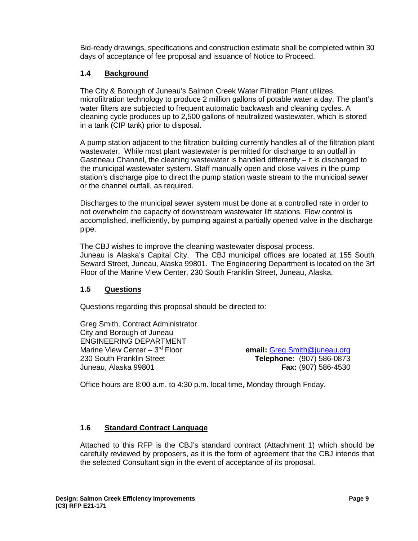Bid-ready drawings, specifications and construction estimate shall be completed within 30 days of acceptance of fee proposal and issuance of Notice to Proceed.

## **1.4 Background**

The City & Borough of Juneau's Salmon Creek Water Filtration Plant utilizes microfiltration technology to produce 2 million gallons of potable water a day. The plant's water filters are subjected to frequent automatic backwash and cleaning cycles. A cleaning cycle produces up to 2,500 gallons of neutralized wastewater, which is stored in a tank (CIP tank) prior to disposal.

A pump station adjacent to the filtration building currently handles all of the filtration plant wastewater. While most plant wastewater is permitted for discharge to an outfall in Gastineau Channel, the cleaning wastewater is handled differently  $-$  it is discharged to the municipal wastewater system. Staff manually open and close valves in the pump station's discharge pipe to direct the pump station waste stream to the municipal sewer or the channel outfall, as required.

Discharges to the municipal sewer system must be done at a controlled rate in order to not overwhelm the capacity of downstream wastewater lift stations. Flow control is accomplished, inefficiently, by pumping against a partially opened valve in the discharge pipe.

The CBJ wishes to improve the cleaning wastewater disposal process. Juneau is Alaska's Capital City. The CBJ municipal offices are located at 155 South Seward Street, Juneau, Alaska 99801. The Engineering Department is located on the 3rf Floor of the Marine View Center, 230 South Franklin Street, Juneau, Alaska.

## **1.5 Questions**

Questions regarding this proposal should be directed to:

Greg Smith, Contract Administrator City and Borough of Juneau ENGINEERING DEPARTMENT<br>Marine View Center – 3<sup>rd</sup> Floor 230 South Franklin Street **Telephone:** (907) 586-0873 Juneau, Alaska 99801 **Fax:** (907) 586-4530

email: [Greg.Smith@juneau.org](mailto:Greg.Smith@juneau.org)

Office hours are 8:00 a.m. to 4:30 p.m. local time, Monday through Friday.

## **1.6 Standard Contract Language**

Attached to this RFP is the CBJ's standard contract (Attachment 1) which should be carefully reviewed by proposers, as it is the form of agreement that the CBJ intends that the selected Consultant sign in the event of acceptance of its proposal.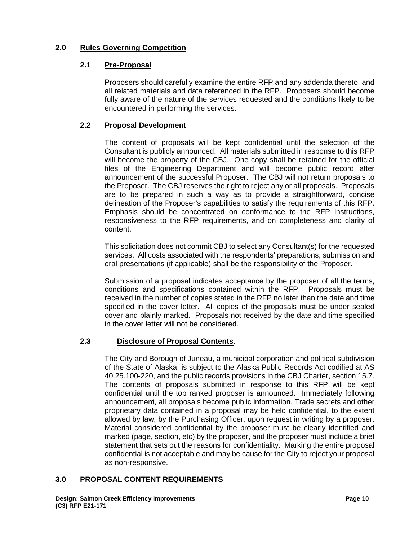## **2.0 Rules Governing Competition**

## **2.1 Pre-Proposal**

Proposers should carefully examine the entire RFP and any addenda thereto, and all related materials and data referenced in the RFP. Proposers should become fully aware of the nature of the services requested and the conditions likely to be encountered in performing the services.

## **2.2 Proposal Development**

The content of proposals will be kept confidential until the selection of the Consultant is publicly announced. All materials submitted in response to this RFP will become the property of the CBJ. One copy shall be retained for the official files of the Engineering Department and will become public record after announcement of the successful Proposer. The CBJ will not return proposals to the Proposer. The CBJ reserves the right to reject any or all proposals. Proposals are to be prepared in such a way as to provide a straightforward, concise delineation of the Proposer's capabilities to satisfy the requirements of this RFP. Emphasis should be concentrated on conformance to the RFP instructions, responsiveness to the RFP requirements, and on completeness and clarity of content.

This solicitation does not commit CBJ to select any Consultant(s) for the requested services. All costs associated with the respondents' preparations, submission and oral presentations (if applicable) shall be the responsibility of the Proposer.

Submission of a proposal indicates acceptance by the proposer of all the terms, conditions and specifications contained within the RFP. Proposals must be received in the number of copies stated in the RFP no later than the date and time specified in the cover letter. All copies of the proposals must be under sealed cover and plainly marked. Proposals not received by the date and time specified in the cover letter will not be considered.

## **2.3 Disclosure of Proposal Contents**.

The City and Borough of Juneau, a municipal corporation and political subdivision of the State of Alaska, is subject to the Alaska Public Records Act codified at AS 40.25.100-220, and the public records provisions in the CBJ Charter, section 15.7. The contents of proposals submitted in response to this RFP will be kept confidential until the top ranked proposer is announced. Immediately following announcement, all proposals become public information. Trade secrets and other proprietary data contained in a proposal may be held confidential, to the extent allowed by law, by the Purchasing Officer, upon request in writing by a proposer. Material considered confidential by the proposer must be clearly identified and marked (page, section, etc) by the proposer, and the proposer must include a brief statement that sets out the reasons for confidentiality. Marking the entire proposal confidential is not acceptable and may be cause for the City to reject your proposal as non-responsive.

## **3.0 PROPOSAL CONTENT REQUIREMENTS**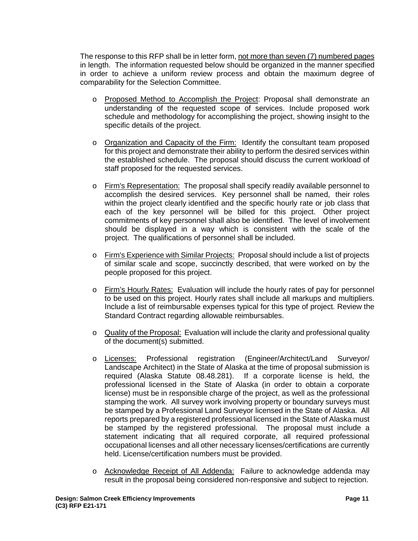The response to this RFP shall be in letter form, not more than seven (7) numbered pages in length. The information requested below should be organized in the manner specified in order to achieve a uniform review process and obtain the maximum degree of comparability for the Selection Committee.

- o Proposed Method to Accomplish the Project: Proposal shall demonstrate an understanding of the requested scope of services. Include proposed work schedule and methodology for accomplishing the project, showing insight to the specific details of the project.
- o Organization and Capacity of the Firm: Identify the consultant team proposed for this project and demonstrate their ability to perform the desired services within the established schedule. The proposal should discuss the current workload of staff proposed for the requested services.
- o Firm's Representation: The proposal shall specify readily available personnel to accomplish the desired services. Key personnel shall be named, their roles within the project clearly identified and the specific hourly rate or job class that each of the key personnel will be billed for this project. Other project commitments of key personnel shall also be identified. The level of involvement should be displayed in a way which is consistent with the scale of the project. The qualifications of personnel shall be included.
- o Firm's Experience with Similar Projects: Proposal should include a list of projects of similar scale and scope, succinctly described, that were worked on by the people proposed for this project.
- o Firm's Hourly Rates: Evaluation will include the hourly rates of pay for personnel to be used on this project. Hourly rates shall include all markups and multipliers. Include a list of reimbursable expenses typical for this type of project. Review the Standard Contract regarding allowable reimbursables.
- o Quality of the Proposal: Evaluation will include the clarity and professional quality of the document(s) submitted.
- o Licenses: Professional registration (Engineer/Architect/Land Surveyor/ Landscape Architect) in the State of Alaska at the time of proposal submission is required (Alaska Statute 08.48.281). If a corporate license is held, the professional licensed in the State of Alaska (in order to obtain a corporate license) must be in responsible charge of the project, as well as the professional stamping the work. All survey work involving property or boundary surveys must be stamped by a Professional Land Surveyor licensed in the State of Alaska. All reports prepared by a registered professional licensed in the State of Alaska must be stamped by the registered professional. The proposal must include a statement indicating that all required corporate, all required professional occupational licenses and all other necessary licenses/certifications are currently held. License/certification numbers must be provided.
- o Acknowledge Receipt of All Addenda: Failure to acknowledge addenda may result in the proposal being considered non-responsive and subject to rejection.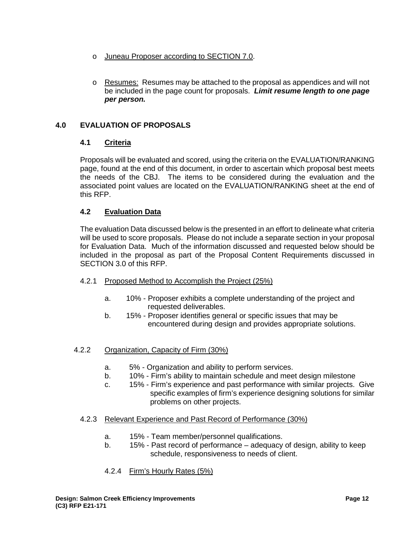- o Juneau Proposer according to SECTION 7.0.
- o Resumes: Resumes may be attached to the proposal as appendices and will not be included in the page count for proposals. *Limit resume length to one page per person.*

## **4.0 EVALUATION OF PROPOSALS**

## **4.1 Criteria**

Proposals will be evaluated and scored, using the criteria on the EVALUATION/RANKING page, found at the end of this document, in order to ascertain which proposal best meets the needs of the CBJ. The items to be considered during the evaluation and the associated point values are located on the EVALUATION/RANKING sheet at the end of this RFP.

## **4.2 Evaluation Data**

The evaluation Data discussed below is the presented in an effort to delineate what criteria will be used to score proposals. Please do not include a separate section in your proposal for Evaluation Data. Much of the information discussed and requested below should be included in the proposal as part of the Proposal Content Requirements discussed in SECTION 3.0 of this RFP.

- 4.2.1 Proposed Method to Accomplish the Project (25%)
	- a. 10% Proposer exhibits a complete understanding of the project and requested deliverables.
	- b. 15% Proposer identifies general or specific issues that may be encountered during design and provides appropriate solutions.
- 4.2.2 Organization, Capacity of Firm (30%)
	- a. 5% Organization and ability to perform services.
	- b. 10% Firm's ability to maintain schedule and meet design milestone
	- c. 15% Firm's experience and past performance with similar projects. Give specific examples of firm's experience designing solutions for similar problems on other projects.
	- 4.2.3 Relevant Experience and Past Record of Performance (30%)
		- a. 15% Team member/personnel qualifications.
		- b. 15% Past record of performance adequacy of design, ability to keep schedule, responsiveness to needs of client.
		- 4.2.4 Firm's Hourly Rates (5%)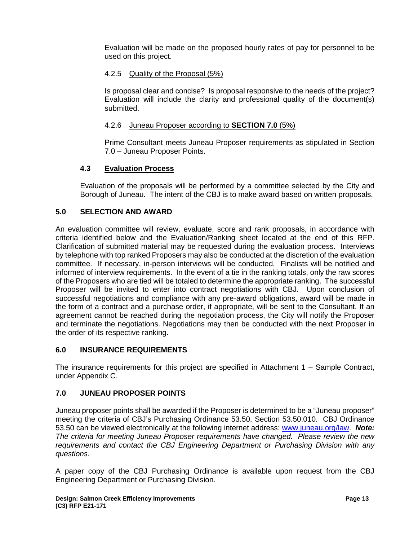Evaluation will be made on the proposed hourly rates of pay for personnel to be used on this project.

## 4.2.5 Quality of the Proposal (5%)

Is proposal clear and concise? Is proposal responsive to the needs of the project? Evaluation will include the clarity and professional quality of the document(s) submitted.

## 4.2.6 Juneau Proposer according to **SECTION 7.0** (5%)

Prime Consultant meets Juneau Proposer requirements as stipulated in Section 7.0 – Juneau Proposer Points.

## **4.3 Evaluation Process**

Evaluation of the proposals will be performed by a committee selected by the City and Borough of Juneau. The intent of the CBJ is to make award based on written proposals.

## **5.0 SELECTION AND AWARD**

An evaluation committee will review, evaluate, score and rank proposals, in accordance with criteria identified below and the Evaluation/Ranking sheet located at the end of this RFP. Clarification of submitted material may be requested during the evaluation process. Interviews by telephone with top ranked Proposers may also be conducted at the discretion of the evaluation committee. If necessary, in-person interviews will be conducted. Finalists will be notified and informed of interview requirements. In the event of a tie in the ranking totals, only the raw scores of the Proposers who are tied will be totaled to determine the appropriate ranking. The successful Proposer will be invited to enter into contract negotiations with CBJ. Upon conclusion of successful negotiations and compliance with any pre-award obligations, award will be made in the form of a contract and a purchase order, if appropriate, will be sent to the Consultant. If an agreement cannot be reached during the negotiation process, the City will notify the Proposer and terminate the negotiations. Negotiations may then be conducted with the next Proposer in the order of its respective ranking.

#### **6.0 INSURANCE REQUIREMENTS**

The insurance requirements for this project are specified in Attachment 1 – Sample Contract, under Appendix C.

## **7.0 JUNEAU PROPOSER POINTS**

Juneau proposer points shall be awarded if the Proposer is determined to be a "Juneau proposer" meeting the criteria of CBJ's Purchasing Ordinance 53.50, Section 53.50.010. CBJ Ordinance 53.50 can be viewed electronically at the following internet address: [www.juneau.org/law.](http://www.juneau.org/law) *Note: The criteria for meeting Juneau Proposer requirements have changed. Please review the new requirements and contact the CBJ Engineering Department or Purchasing Division with any questions.* 

A paper copy of the CBJ Purchasing Ordinance is available upon request from the CBJ Engineering Department or Purchasing Division.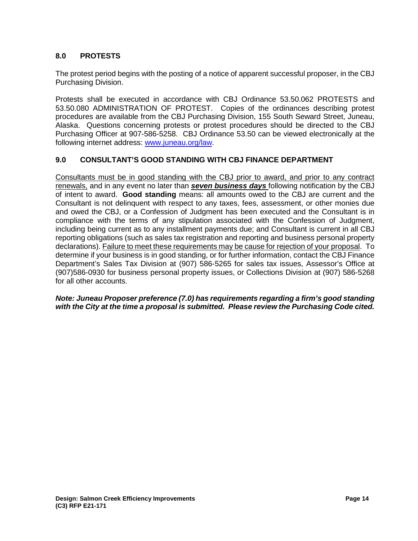## **8.0 PROTESTS**

The protest period begins with the posting of a notice of apparent successful proposer, in the CBJ Purchasing Division.

Protests shall be executed in accordance with CBJ Ordinance 53.50.062 PROTESTS and 53.50.080 ADMINISTRATION OF PROTEST. Copies of the ordinances describing protest procedures are available from the CBJ Purchasing Division, 155 South Seward Street, Juneau, Alaska. Questions concerning protests or protest procedures should be directed to the CBJ Purchasing Officer at 907-586-5258. CBJ Ordinance 53.50 can be viewed electronically at the following internet address: [www.juneau.org/law.](http://www.juneau.org/law)

### **9.0 CONSULTANT'S GOOD STANDING WITH CBJ FINANCE DEPARTMENT**

Consultants must be in good standing with the CBJ prior to award, and prior to any contract renewals, and in any event no later than *seven business days* following notification by the CBJ of intent to award. **Good standing** means: all amounts owed to the CBJ are current and the Consultant is not delinquent with respect to any taxes, fees, assessment, or other monies due and owed the CBJ, or a Confession of Judgment has been executed and the Consultant is in compliance with the terms of any stipulation associated with the Confession of Judgment, including being current as to any installment payments due; and Consultant is current in all CBJ reporting obligations (such as sales tax registration and reporting and business personal property declarations). Failure to meet these requirements may be cause for rejection of your proposal. To determine if your business is in good standing, or for further information, contact the CBJ Finance Department's Sales Tax Division at (907) 586-5265 for sales tax issues, Assessor's Office at (907)586-0930 for business personal property issues, or Collections Division at (907) 586-5268 for all other accounts.

*Note: Juneau Proposer preference (7.0) has requirements regarding a firm's good standing with the City at the time a proposal is submitted. Please review the Purchasing Code cited.*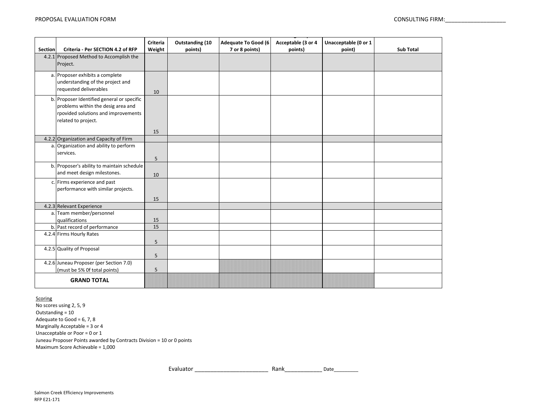| <b>Section</b> | Criteria - Per SECTION 4.2 of RFP                                                                                                              | Criteria<br>Weight | <b>Outstanding (10</b><br>points) | <b>Adequate To Good (6)</b><br>7 or 8 points) | Acceptable (3 or 4<br>points) | Unacceptable (0 or 1<br>point) | <b>Sub Total</b> |
|----------------|------------------------------------------------------------------------------------------------------------------------------------------------|--------------------|-----------------------------------|-----------------------------------------------|-------------------------------|--------------------------------|------------------|
|                | 4.2.1 Proposed Method to Accomplish the<br>Project.                                                                                            |                    |                                   |                                               |                               |                                |                  |
|                | a. Proposer exhibits a complete<br>understanding of the project and<br>requested deliverables                                                  | 10                 |                                   |                                               |                               |                                |                  |
|                | b. Proposer Identified general or specific<br>problems within the desig area and<br>rpovided solutions and improvements<br>related to project. | 15                 |                                   |                                               |                               |                                |                  |
|                | 4.2.2 Organization and Capacity of Firm                                                                                                        |                    |                                   |                                               |                               |                                |                  |
| a.             | Organization and ability to perform<br>services.                                                                                               | 5                  |                                   |                                               |                               |                                |                  |
|                | b. Proposer's ability to maintain schedule<br>and meet design milestones.                                                                      | 10                 |                                   |                                               |                               |                                |                  |
|                | c. Firms experience and past<br>performance with similar projects.                                                                             | 15                 |                                   |                                               |                               |                                |                  |
|                | 4.2.3 Relevant Experience                                                                                                                      |                    |                                   |                                               |                               |                                |                  |
|                | a. Team member/personnel<br>qualifications                                                                                                     | 15                 |                                   |                                               |                               |                                |                  |
|                | b. Past record of performance                                                                                                                  | 15                 |                                   |                                               |                               |                                |                  |
|                | 4.2.4 Firms Hourly Rates                                                                                                                       | 5                  |                                   |                                               |                               |                                |                  |
|                | 4.2.5 Quality of Proposal                                                                                                                      | 5                  |                                   |                                               |                               |                                |                  |
|                | 4.2.6 Juneau Proposer (per Section 7.0)<br>(must be 5% Of total points)                                                                        | 5                  |                                   |                                               |                               |                                |                  |
|                | <b>GRAND TOTAL</b>                                                                                                                             |                    |                                   |                                               |                               |                                |                  |

**Scoring** 

No scores using 2, 5, 9 Maximum Score Achievable = 1,000 Juneau Proposer Points awarded by Contracts Division = 10 or 0 points Outstanding = 10 Adequate to Good =  $6, 7, 8$ Marginally Acceptable = 3 or 4 Unacceptable or Poor = 0 or 1

Rank\_\_\_\_\_\_\_\_\_\_\_\_Date\_\_\_\_\_\_\_\_\_ Evaluator \_\_\_\_\_\_\_\_\_\_\_\_\_\_\_\_\_\_\_\_\_\_\_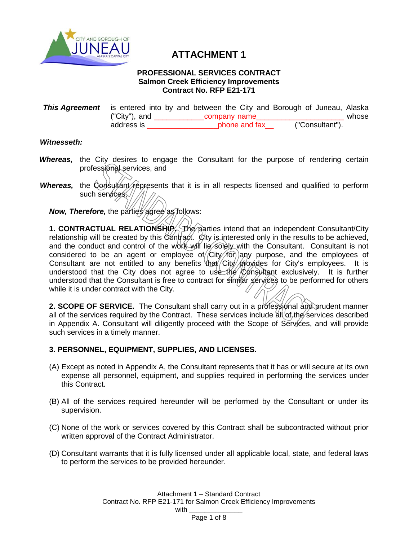

## **ATTACHMENT 1**

#### **PROFESSIONAL SERVICES CONTRACT Salmon Creek Efficiency Improvements Contract No. RFP E21-171**

| <b>This Agreement</b> is entered into by and between the City and Borough of Juneau, Alaska |               |              |               |  |  |                 |       |
|---------------------------------------------------------------------------------------------|---------------|--------------|---------------|--|--|-----------------|-------|
|                                                                                             | ("City"), and | company name |               |  |  |                 | whose |
|                                                                                             | address is    |              | phone and fax |  |  | ("Consultant"). |       |

## *Witnesseth:*

- *Whereas,* the City desires to engage the Consultant for the purpose of rendering certain professional services, and
- *Whereas,* the Consultant represents that it is in all respects licensed and qualified to perform such services;

*Now, Therefore, the parties agree as follows:* 

**1. CONTRACTUAL RELATIONSHIP.** The parties intend that an independent Consultant/City relationship will be created by this Contract. City is interested only in the results to be achieved, and the conduct and control of the work will lie solely with the Consultant. Consultant is not considered to be an agent or employee of  $/$ City $/$  for any purpose, and the employees of consultant are not entitled to any benefits that City provides for City's employees. It is understood that the City does not agree to use the Consultant exclusively. It is further understood that the Consultant is free to contract for similar services to be performed for others while it is under contract with the City.

**2. SCOPE OF SERVICE.** The Consultant shall carry out in a professional and prudent manner all of the services required by the Contract. These services include  $\frac{\partial f}{\partial x}$  of the services described in Appendix A. Consultant will diligently proceed with the Scope of Services, and will provide such services in a timely manner.

## **3. PERSONNEL, EQUIPMENT, SUPPLIES, AND LICENSES.**

- (A) Except as noted in Appendix A, the Consultant represents that it has or will secure at its own expense all personnel, equipment, and supplies required in performing the services under this Contract.
- (B) All of the services required hereunder will be performed by the Consultant or under its supervision.
- (C) None of the work or services covered by this Contract shall be subcontracted without prior written approval of the Contract Administrator.
- (D) Consultant warrants that it is fully licensed under all applicable local, state, and federal laws to perform the services to be provided hereunder.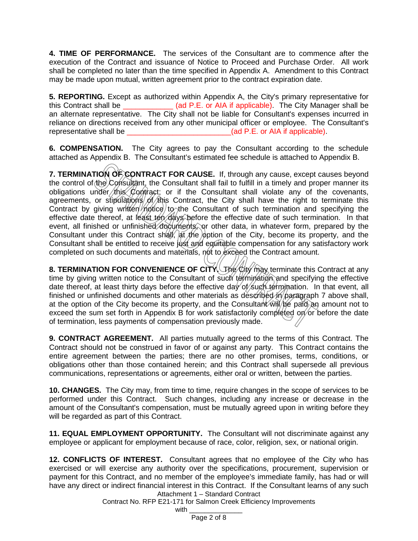**4. TIME OF PERFORMANCE.** The services of the Consultant are to commence after the execution of the Contract and issuance of Notice to Proceed and Purchase Order. All work shall be completed no later than the time specified in Appendix A. Amendment to this Contract may be made upon mutual, written agreement prior to the contract expiration date.

**5. REPORTING.** Except as authorized within Appendix A, the City's primary representative for this Contract shall be \_\_\_\_\_\_\_\_\_\_\_\_ (ad P.E. or AIA if applicable). The City Manager shall be an alternate representative. The City shall not be liable for Consultant's expenses incurred in reliance on directions received from any other municipal officer or employee. The Consultant's representative shall be  $(ad P.E. or AIA if applicable)$ .

**6. COMPENSATION.** The City agrees to pay the Consultant according to the schedule attached as Appendix B. The Consultant's estimated fee schedule is attached to Appendix B.

**7. TERMINATION OF CONTRACT FOR CAUSE.** If, through any cause, except causes beyond the control of the Consultant, the Consultant shall fail to fulfill in a timely and proper manner its obligations under this Contract; or if the Consultant shall violate any of the covenants, agreements, or stipulations of this Contract, the City shall have the right to terminate this Contract by giving written notice to the Consultant of such termination and specifying the effective date thereof, at least ten days before the effective date of such termination. In that event, all finished or unfinished documents, or other data, in whatever form, prepared by the Consultant under this Contract shall, at the option of the City, become its property, and the Consultant shall be entitled to receive just and equitable compensation for any satisfactory work completed on such documents and materials, not to exceed the Contract amount.

**8. TERMINATION FOR CONVENIENCE OF CITY.** The City may terminate this Contract at any time by giving written notice to the Consultant of such termination and specifying the effective date thereof, at least thirty days before the effective day of such termination. In that event, all finished or unfinished documents and other materials as described in paragraph 7 above shall, at the option of the City become its property, and the Consultant  $\hat{w}$   $\hat{w}$   $\hat{p}$  an amount not to exceed the sum set forth in Appendix B for work satisfactorily completed on or before the date of termination, less payments of compensation previously made.

**9. CONTRACT AGREEMENT.** All parties mutually agreed to the terms of this Contract. The Contract should not be construed in favor of or against any party. This Contract contains the entire agreement between the parties; there are no other promises, terms, conditions, or obligations other than those contained herein; and this Contract shall supersede all previous communications, representations or agreements, either oral or written, between the parties.

**10. CHANGES.** The City may, from time to time, require changes in the scope of services to be performed under this Contract. Such changes, including any increase or decrease in the amount of the Consultant's compensation, must be mutually agreed upon in writing before they will be regarded as part of this Contract.

**11. EQUAL EMPLOYMENT OPPORTUNITY.** The Consultant will not discriminate against any employee or applicant for employment because of race, color, religion, sex, or national origin.

Attachment 1 – Standard Contract **12. CONFLICTS OF INTEREST.** Consultant agrees that no employee of the City who has exercised or will exercise any authority over the specifications, procurement, supervision or payment for this Contract, and no member of the employee's immediate family, has had or will have any direct or indirect financial interest in this Contract. If the Consultant learns of any such

Contract No. RFP E21-171 for Salmon Creek Efficiency Improvements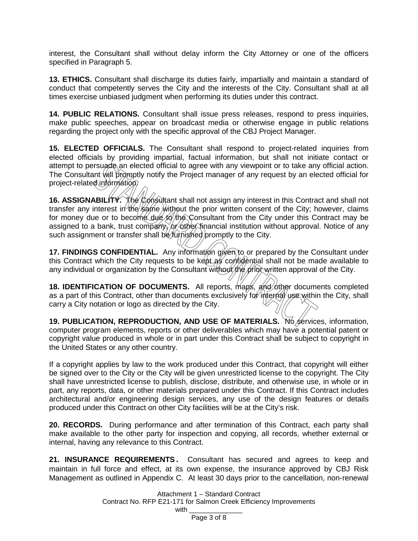interest, the Consultant shall without delay inform the City Attorney or one of the officers specified in Paragraph 5.

**13. ETHICS.** Consultant shall discharge its duties fairly, impartially and maintain a standard of conduct that competently serves the City and the interests of the City. Consultant shall at all times exercise unbiased judgment when performing its duties under this contract.

**14. PUBLIC RELATIONS.** Consultant shall issue press releases, respond to press inquiries, make public speeches, appear on broadcast media or otherwise engage in public relations regarding the project only with the specific approval of the CBJ Project Manager.

**15. ELECTED OFFICIALS.** The Consultant shall respond to project-related inquiries from elected officials by providing impartial, factual information, but shall not initiate contact or attempt to persuade an elected official to agree with any viewpoint or to take any official action. The Consultant will promptly notify the Project manager of any request by an elected official for project-related information?

16. ASSIGNABILITY. The Consultant shall not assign any interest in this Contract and shall not transfer any interest in the same without the prior written consent of the City; however, claims for money due or to become due to the Consultant from the City under this Contract may be assigned to a bank, trust company, or other financial institution without approval. Notice of any such assignment or transfer shall be *furnished* promptly to the City.

**17. FINDINGS CONFIDENTIAL.** Any information given to or prepared by the Consultant under this Contract which the City requests to be kept as confidential shall not be made available to any individual or organization by the Consultant without the prior written approval of the City.

**18. IDENTIFICATION OF DOCUMENTS.** All reports, maps, and other documents completed as a part of this Contract, other than documents exclusively for internal use within the City, shall carry a City notation or logo as directed by the City.

**19. PUBLICATION, REPRODUCTION, AND USE OF MATERIALS.** No services, information, computer program elements, reports or other deliverables which may have a potential patent or copyright value produced in whole or in part under this Contract shall be subject to copyright in the United States or any other country.

If a copyright applies by law to the work produced under this Contract, that copyright will either be signed over to the City or the City will be given unrestricted license to the copyright. The City shall have unrestricted license to publish, disclose, distribute, and otherwise use, in whole or in part, any reports, data, or other materials prepared under this Contract. If this Contract includes architectural and/or engineering design services, any use of the design features or details produced under this Contract on other City facilities will be at the City's risk.

**20. RECORDS.** During performance and after termination of this Contract, each party shall make available to the other party for inspection and copying, all records, whether external or internal, having any relevance to this Contract.

**21. INSURANCE REQUIREMENTS.** Consultant has secured and agrees to keep and maintain in full force and effect, at its own expense, the insurance approved by CBJ Risk Management as outlined in Appendix C. At least 30 days prior to the cancellation, non-renewal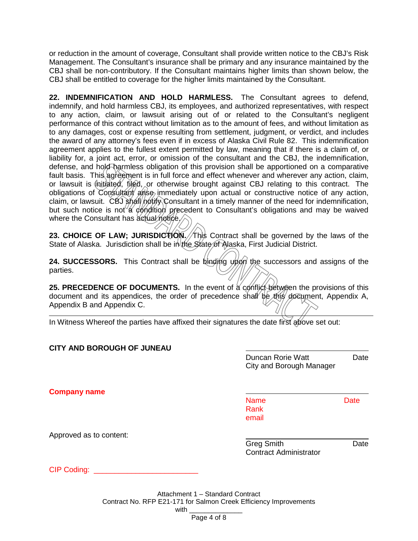or reduction in the amount of coverage, Consultant shall provide written notice to the CBJ's Risk Management. The Consultant's insurance shall be primary and any insurance maintained by the CBJ shall be non-contributory. If the Consultant maintains higher limits than shown below, the CBJ shall be entitled to coverage for the higher limits maintained by the Consultant.

**22. INDEMNIFICATION AND HOLD HARMLESS.** The Consultant agrees to defend, indemnify, and hold harmless CBJ, its employees, and authorized representatives, with respect to any action, claim, or lawsuit arising out of or related to the Consultant's negligent performance of this contract without limitation as to the amount of fees, and without limitation as to any damages, cost or expense resulting from settlement, judgment, or verdict, and includes the award of any attorney's fees even if in excess of Alaska Civil Rule 82. This indemnification agreement applies to the fullest extent permitted by law, meaning that if there is a claim of, or liability for, a joint act, error, or omission of the consultant and the CBJ, the indemnification, defense, and hold harmless obligation of this provision shall be apportioned on a comparative fault basis. This agreement is in full force and effect whenever and wherever any action, claim, or lawsuit is  $\oint$ nitiated, filed, or otherwise brought against CBJ relating to this contract. The obligations of Consultant arise immediately upon actual or constructive notice of any action, claim, or lawsuit. CBJ shall notify Consultant in a timely manner of the need for indemnification, but such notice is not a condition precedent to Consultant's obligations and may be waived where the Consultant has actual notice.

**23. CHOICE OF LAW; JURISDICTION. This Contract shall be governed by the laws of the** State of Alaska. Jurisdiction shall be in the State of Alaska, First Judicial District.

**24. SUCCESSORS.** This Contract shall be binding upon the successors and assigns of the parties.

**25. PRECEDENCE OF DOCUMENTS.** In the event of a conflict between the provisions of this document and its appendices, the order of precedence shall be this document, Appendix A, Appendix B and Appendix C.

In Witness Whereof the parties have affixed their signatures the date first above set out:

| <b>CITY AND BOROUGH OF JUNEAU</b> |                                                      |             |
|-----------------------------------|------------------------------------------------------|-------------|
|                                   | <b>Duncan Rorie Watt</b><br>City and Borough Manager | Date        |
| <b>Company name</b>               |                                                      |             |
|                                   | <b>Name</b><br>Rank<br>email                         | <b>Date</b> |
| Approved as to content:           |                                                      |             |
|                                   | <b>Greg Smith</b><br><b>Contract Administrator</b>   | Date        |
| CIP Coding: _                     |                                                      |             |
|                                   |                                                      |             |

Attachment 1 – Standard Contract Contract No. RFP E21-171 for Salmon Creek Efficiency Improvements with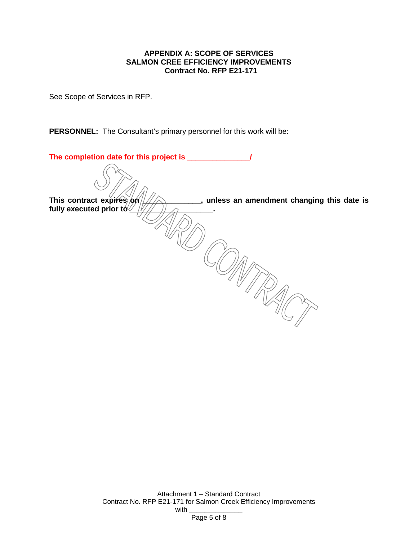## **APPENDIX A: SCOPE OF SERVICES SALMON CREE EFFICIENCY IMPROVEMENTS Contract No. RFP E21-171**

See Scope of Services in RFP.

**PERSONNEL:** The Consultant's primary personnel for this work will be:

| The completion date for this project is _                               |  |
|-------------------------------------------------------------------------|--|
|                                                                         |  |
| This contract expires on<br>, unless an amendment changing this date is |  |
| fully executed prior to $\sqrt{2}$                                      |  |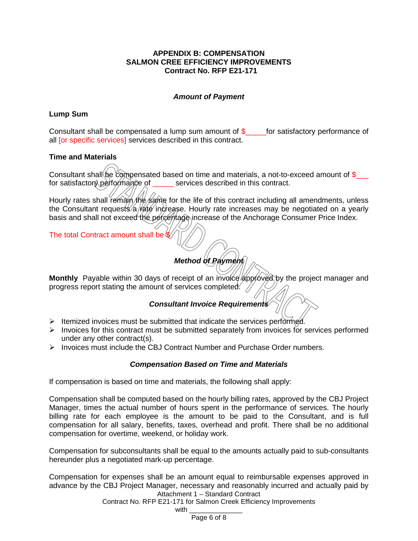## **APPENDIX B: COMPENSATION SALMON CREE EFFICIENCY IMPROVEMENTS Contract No. RFP E21-171**

## *Amount of Payment*

### **Lump Sum**

Consultant shall be compensated a lump sum amount of  $\$\$  for satisfactory performance of all **[or specific services]** services described in this contract.

### **Time and Materials**

Consultant shall be compensated based on time and materials, a not-to-exceed amount of  $\frac{1}{2}$ for satisfactory performance of services described in this contract.

Hourly rates shall remain the same for the life of this contract including all amendments, unless the Consultant requests/a/rate increase. Hourly rate increases may be negotiated on a yearly basis and shall not exceed the percentage increase of the Anchorage Consumer Price Index.

The total Contract amount shall be \$

## *Method of Payment*

Monthly Payable within 30 days of receipt of an invoice approved by the project manager and progress report stating the amount of services completed.

## *Consultant Invoice Requirements*

- $\triangleright$  Itemized invoices must be submitted that indicate the services performed.
- $\triangleright$  Invoices for this contract must be submitted separately from invoices for services performed under any other contract(s).
- $\triangleright$  Invoices must include the CBJ Contract Number and Purchase Order numbers.

## *Compensation Based on Time and Materials*

If compensation is based on time and materials, the following shall apply:

Compensation shall be computed based on the hourly billing rates, approved by the CBJ Project Manager, times the actual number of hours spent in the performance of services. The hourly billing rate for each employee is the amount to be paid to the Consultant, and is full compensation for all salary, benefits, taxes, overhead and profit. There shall be no additional compensation for overtime, weekend, or holiday work.

Compensation for subconsultants shall be equal to the amounts actually paid to sub-consultants hereunder plus a negotiated mark-up percentage.

Attachment 1 – Standard Contract Compensation for expenses shall be an amount equal to reimbursable expenses approved in advance by the CBJ Project Manager, necessary and reasonably incurred and actually paid by

Contract No. RFP E21-171 for Salmon Creek Efficiency Improvements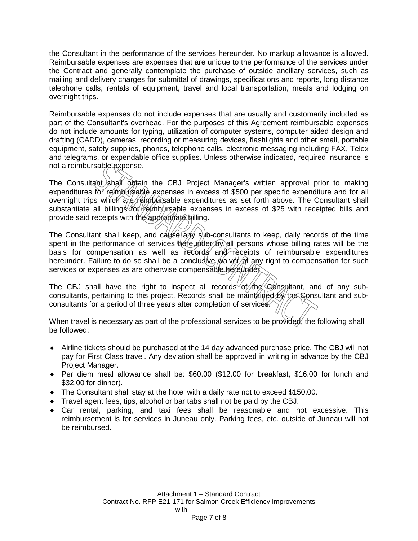the Consultant in the performance of the services hereunder. No markup allowance is allowed. Reimbursable expenses are expenses that are unique to the performance of the services under the Contract and generally contemplate the purchase of outside ancillary services, such as mailing and delivery charges for submittal of drawings, specifications and reports, long distance telephone calls, rentals of equipment, travel and local transportation, meals and lodging on overnight trips.

Reimbursable expenses do not include expenses that are usually and customarily included as part of the Consultant's overhead. For the purposes of this Agreement reimbursable expenses do not include amounts for typing, utilization of computer systems, computer aided design and drafting (CADD), cameras, recording or measuring devices, flashlights and other small, portable equipment, safety supplies, phones, telephone calls, electronic messaging including FAX, Telex and telegrams, or expendable office supplies. Unless otherwise indicated, required insurance is not a reimbursable expense.

The Consultant shall obtain the CBJ Project Manager's written approval prior to making expenditures for reimbursable expenses in excess of \$500 per specific expenditure and for all overnight trips which are reimbursable expenditures as set forth above. The Consultant shall substantiate all billings for reimbursable expenses in excess of \$25 with receipted bills and provide said receipts with the appropriate billing.

The Consultant shall keep, and cause any sub-consultants to keep, daily records of the time spent in the performance of services hereunder by all persons whose billing rates will be the basis for compensation as well as records and receipts of reimbursable expenditures hereunder. Failure to do so shall be a conclusive *waiver* of any right to compensation for such services or expenses as are otherwise compensable hereunder.

The CBJ shall have the right to inspect all records of the Consultant, and of any subconsultants, pertaining to this project. Records shall be maintained by the Consultant and subconsultants for a period of three years after completion of services.

When travel is necessary as part of the professional services to be provided, the following shall be followed:

- ♦ Airline tickets should be purchased at the 14 day advanced purchase price. The CBJ will not pay for First Class travel. Any deviation shall be approved in writing in advance by the CBJ Project Manager.
- ♦ Per diem meal allowance shall be: \$60.00 (\$12.00 for breakfast, \$16.00 for lunch and \$32.00 for dinner).
- ♦ The Consultant shall stay at the hotel with a daily rate not to exceed \$150.00.
- ♦ Travel agent fees, tips, alcohol or bar tabs shall not be paid by the CBJ.
- ♦ Car rental, parking, and taxi fees shall be reasonable and not excessive. This reimbursement is for services in Juneau only. Parking fees, etc. outside of Juneau will not be reimbursed.